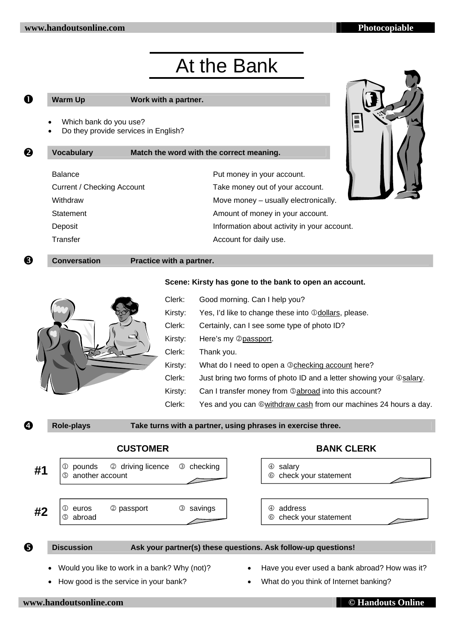# At the Bank

# **1** Warm Up Work with a partner.

**2** Vocabulary Match the word with the correct meaning.

- Which bank do you use?
- Do they provide services in English?

| <b>Balance</b>                    | Put money in your account.                  |
|-----------------------------------|---------------------------------------------|
| <b>Current / Checking Account</b> | Take money out of your account.             |
| Withdraw                          | Move money - usually electronically.        |
| Statement                         | Amount of money in your account.            |
| Deposit                           | Information about activity in your account. |
| Transfer                          | Account for daily use.                      |



# $\Theta$  Conversation Practice with a partner.

### **Scene: Kirsty has gone to the bank to open an account.**



| Clerk:  | Good morning. Can I help you?                                               |
|---------|-----------------------------------------------------------------------------|
| Kirsty: | Yes, I'd like to change these into <b>Odollars</b> , please.                |
| Clerk:  | Certainly, can I see some type of photo ID?                                 |
| Kirsty: | Here's my 2 passport.                                                       |
| Clerk:  | Thank you.                                                                  |
| Kirsty: | What do I need to open a 3 checking account here?                           |
| Clerk:  | Just bring two forms of photo ID and a letter showing your <b>@salary</b> . |
| Kirsty: | Can I transfer money from <b>Sabroad</b> into this account?                 |
| Clerk:  | Yes and you can ©withdraw cash from our machines 24 hours a day.            |

# **q** Role-plays Take turns with a partner, using phrases in exercise three.

# **CUSTOMER BANK CLERK**



## **6** Discussion Ask your partner(s) these questions. Ask follow-up questions!

- Would you like to work in a bank? Why (not)?
- How good is the service in your bank?
- Have you ever used a bank abroad? How was it?
- What do you think of Internet banking?